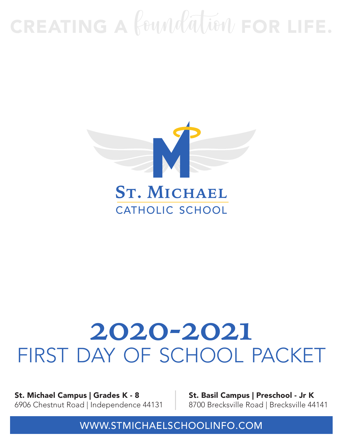# CREATING A foundation FOR LIFE.



## **2020-2021**  first day of school packet

St. Michael Campus | Grades K - 8 6906 Chestnut Road | Independence 44131 St. Basil Campus | Preschool - Jr K 8700 Brecksville Road | Brecksville 44141

WWW.STMICHAELSCHOOLINFO.COM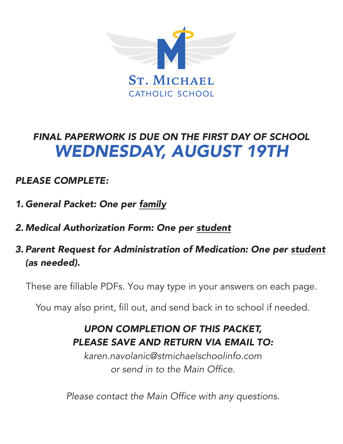

### *FINAL PAPERWORK IS DUE ON THE FIRST DAY OF SCHOOL WEDNESDAY, AUGUST 19TH*

#### *PLEASE COMPLETE:*

- 1. *General Packet: One per family*
- 2. *Medical Authorization Form: One per student*
- 3. *Parent Request for Administration of Medication: One per student (as needed).*

These are fillable PDFs. You may type in your answers on each page.

You may also print, fill out, and send back in to school if needed.

#### *UPON COMPLETION OF THIS PACKET, PLEASE SAVE AND RETURN VIA EMAIL TO:*

karen.navolanic@stmichaelschoolinfo.com or send in to the Main Office.

Please contact the Main Office with any questions.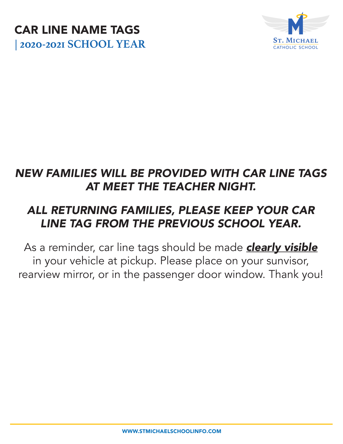



### *NEW FAMILIES WILL BE PROVIDED WITH CAR LINE TAGS AT MEET THE TEACHER NIGHT.*

### *ALL RETURNING FAMILIES, PLEASE KEEP YOUR CAR LINE TAG FROM THE PREVIOUS SCHOOL YEAR.*

As a reminder, car line tags should be made *clearly visible* in your vehicle at pickup. Please place on your sunvisor, rearview mirror, or in the passenger door window. Thank you!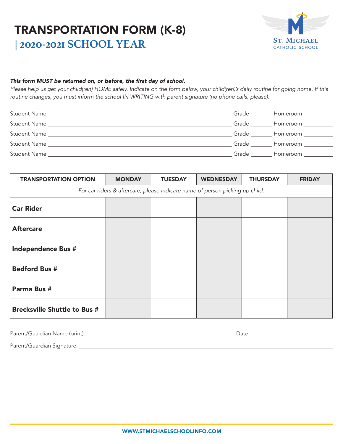#### TRANSPORTATION FORM (K-8) **| 2020-2021 SCHOOL YEAR**



#### This form MUST be returned on, or before, the first day of school.

Please help us get your child(ren) HOME safely. Indicate on the form below, your child(ren)'s daily routine for going home. If this routine changes, you must inform the school IN WRITING with parent signature (no phone calls, please).

|                                                                                                                  |                    | Grade Homeroom                      |
|------------------------------------------------------------------------------------------------------------------|--------------------|-------------------------------------|
| Student Name                                                                                                     |                    | Grade _________ Homeroom __________ |
| Student Name and the student student student was a student of the student student of the student student student |                    | Grade Homeroom                      |
|                                                                                                                  | Grade <b>State</b> | Homeroom _________                  |
| Student Name <b>Student Student Name</b>                                                                         | Grade              | Homeroom __________                 |
|                                                                                                                  |                    |                                     |

| <b>TRANSPORTATION OPTION</b>        | <b>MONDAY</b> | <b>TUESDAY</b> | <b>WEDNESDAY</b>                                                             | <b>THURSDAY</b> | <b>FRIDAY</b> |
|-------------------------------------|---------------|----------------|------------------------------------------------------------------------------|-----------------|---------------|
|                                     |               |                | For car riders & aftercare, please indicate name of person picking up child. |                 |               |
| <b>Car Rider</b>                    |               |                |                                                                              |                 |               |
| <b>Aftercare</b>                    |               |                |                                                                              |                 |               |
| <b>Independence Bus #</b>           |               |                |                                                                              |                 |               |
| <b>Bedford Bus #</b>                |               |                |                                                                              |                 |               |
| Parma Bus #                         |               |                |                                                                              |                 |               |
| <b>Brecksville Shuttle to Bus #</b> |               |                |                                                                              |                 |               |

| Parent/Guardian Name (print): | Jate |
|-------------------------------|------|
|                               |      |

Parent/Guardian Signature: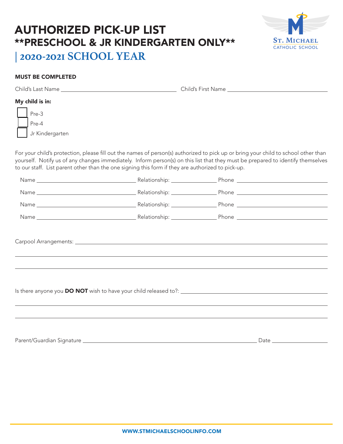#### AUTHORIZED PICK-UP LIST \*\*PRESCHOOL & JR KINDERGARTEN ONLY\*\* **| 2020-2021 SCHOOL YEAR**



#### MUST BE COMPLETED

|  | Child's Last Name | Child's First Name |
|--|-------------------|--------------------|
|  | My child is in:   |                    |
|  | Pre-3             |                    |
|  | Pre-4             |                    |
|  | Jr Kindergarten   |                    |

For your child's protection, please fill out the names of person(s) authorized to pick up or bring your child to school other than yourself. Notify us of any changes immediately. Inform person(s) on this list that they must be prepared to identify themselves to our staff. List parent other than the one signing this form if they are authorized to pick-up.

| ,我们也不会有什么?""我们的人,我们也不会有什么?""我们的人,我们也不会有什么?""我们的人,我们也不会有什么?""我们的人,我们也不会有什么?""我们的人 |  |
|----------------------------------------------------------------------------------|--|
|                                                                                  |  |
|                                                                                  |  |
|                                                                                  |  |
|                                                                                  |  |
|                                                                                  |  |
|                                                                                  |  |
|                                                                                  |  |

Parent/Guardian Signature Date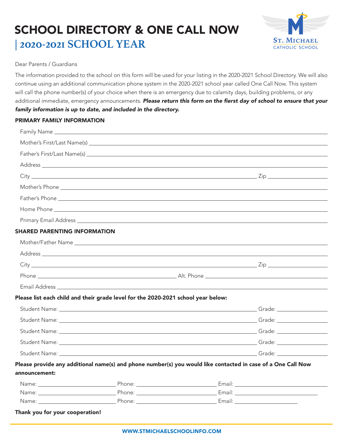### SCHOOL DIRECTORY & ONE CALL NOW **| 2020-2021 SCHOOL YEAR**



#### Dear Parents / Guardians

The information provided to the school on this form will be used for your listing in the 2020-2021 School Directory. We will also continue using an additional communication phone system in the 2020-2021 school year called One Call Now. This system will call the phone number(s) of your choice when there is an emergency due to calamity days, building problems, or any additional immediate, emergency announcements. Please return this form on the fierst day of school to ensure that your *family information is up to date, and included in the directory.*

#### PRIMARY FAMILY INFORMATION

|                                     |                                                                                   | Address and the contract of the contract of the contract of the contract of the contract of the contract of the contract of the contract of the contract of the contract of the contract of the contract of the contract of th |
|-------------------------------------|-----------------------------------------------------------------------------------|--------------------------------------------------------------------------------------------------------------------------------------------------------------------------------------------------------------------------------|
|                                     |                                                                                   |                                                                                                                                                                                                                                |
|                                     |                                                                                   |                                                                                                                                                                                                                                |
|                                     |                                                                                   |                                                                                                                                                                                                                                |
|                                     |                                                                                   |                                                                                                                                                                                                                                |
|                                     |                                                                                   |                                                                                                                                                                                                                                |
| <b>SHARED PARENTING INFORMATION</b> |                                                                                   |                                                                                                                                                                                                                                |
|                                     |                                                                                   |                                                                                                                                                                                                                                |
|                                     |                                                                                   |                                                                                                                                                                                                                                |
|                                     |                                                                                   |                                                                                                                                                                                                                                |
|                                     |                                                                                   |                                                                                                                                                                                                                                |
|                                     |                                                                                   |                                                                                                                                                                                                                                |
|                                     | Please list each child and their grade level for the 2020-2021 school year below: |                                                                                                                                                                                                                                |
|                                     |                                                                                   |                                                                                                                                                                                                                                |
|                                     |                                                                                   |                                                                                                                                                                                                                                |
|                                     |                                                                                   |                                                                                                                                                                                                                                |
|                                     |                                                                                   |                                                                                                                                                                                                                                |
|                                     |                                                                                   |                                                                                                                                                                                                                                |
|                                     |                                                                                   | Please provide any additional name(s) and phone number(s) you would like contacted in case of a One Call Now                                                                                                                   |
| announcement:                       |                                                                                   |                                                                                                                                                                                                                                |
|                                     |                                                                                   |                                                                                                                                                                                                                                |
|                                     |                                                                                   |                                                                                                                                                                                                                                |
|                                     |                                                                                   |                                                                                                                                                                                                                                |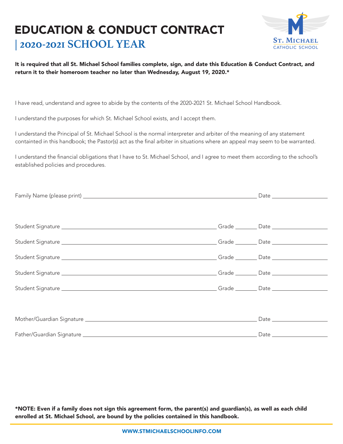#### EDUCATION & CONDUCT CONTRACT **| 2020-2021 SCHOOL YEAR**



#### It is required that all St. Michael School families complete, sign, and date this Education & Conduct Contract, and return it to their homeroom teacher no later than Wednesday, August 19, 2020.\*

I have read, understand and agree to abide by the contents of the 2020-2021 St. Michael School Handbook.

I understand the purposes for which St. Michael School exists, and I accept them.

I understand the Principal of St. Michael School is the normal interpreter and arbiter of the meaning of any statement containted in this handbook; the Pastor(s) act as the final arbiter in situations where an appeal may seem to be warranted.

I understand the financial obligations that I have to St. Michael School, and I agree to meet them according to the school's established policies and procedures.

\*NOTE: Even if a family does not sign this agreement form, the parent(s) and guardian(s), as well as each child enrolled at St. Michael School, are bound by the policies contained in this handbook.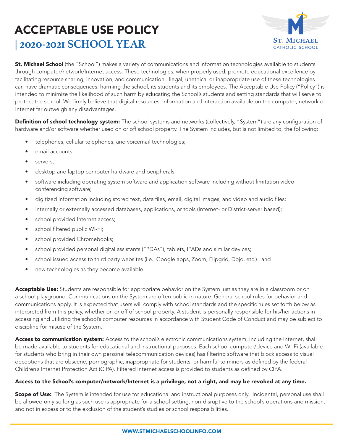

St. Michael School (the "School") makes a variety of communications and information technologies available to students through computer/network/Internet access. These technologies, when properly used, promote educational excellence by facilitating resource sharing, innovation, and communication. Illegal, unethical or inappropriate use of these technologies can have dramatic consequences, harming the school, its students and its employees. The Acceptable Use Policy ("Policy") is intended to minimize the likelihood of such harm by educating the School's students and setting standards that will serve to protect the school. We firmly believe that digital resources, information and interaction available on the computer, network or Internet far outweigh any disadvantages.

Definition of school technology system: The school systems and networks (collectively, "System") are any configuration of hardware and/or software whether used on or off school property. The System includes, but is not limited to, the following:

- telephones, cellular telephones, and voicemail technologies;
- email accounts;
- servers;
- desktop and laptop computer hardware and peripherals;
- software including operating system software and application software including without limitation video conferencing software;
- digitized information including stored text, data files, email, digital images, and video and audio files;
- internally or externally accessed databases, applications, or tools (Internet- or District-server based);
- school provided Internet access;
- school filtered public Wi-Fi;
- school provided Chromebooks;
- school provided personal digital assistants ("PDAs"), tablets, IPADs and similar devices;
- school issued access to third party websites (i.e., Google apps, Zoom, Flipgrid, Dojo, etc.) ; and
- new technologies as they become available.

Acceptable Use: Students are responsible for appropriate behavior on the System just as they are in a classroom or on a school playground. Communications on the System are often public in nature. General school rules for behavior and communications apply. It is expected that users will comply with school standards and the specific rules set forth below as interpreted from this policy, whether on or off of school property. A student is personally responsible for his/her actions in accessing and utilizing the school's computer resources in accordance with Student Code of Conduct and may be subject to discipline for misuse of the System.

Access to communication system: Access to the school's electronic communications system, including the Internet, shall be made available to students for educational and instructional purposes. Each school computer/device and Wi-Fi (available for students who bring in their own personal telecommunication devices) has filtering software that block access to visual deceptions that are obscene, pornographic, inappropriate for students, or harmful to minors as defined by the federal Children's Internet Protection Act (CIPA). Filtered Internet access is provided to students as defined by CIPA.

#### Access to the School's computer/network/Internet is a privilege, not a right, and may be revoked at any time.

Scope of Use: The System is intended for use for educational and instructional purposes only. Incidental, personal use shall be allowed only so long as such use is appropriate for a school setting, non-disruptive to the school's operations and mission, and not in excess or to the exclusion of the student's studies or school responsibilities.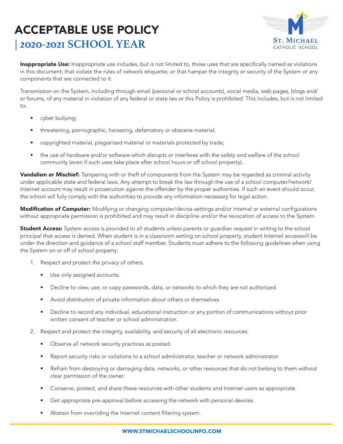

Inappropriate Use: Inappropriate use includes, but is not limited to, those uses that are specifically named as violations in this document; that violate the rules of network etiquette; or that hamper the integrity or security of the System or any components that are connected to it.

Transmission on the System, including through email (personal or school accounts), social media, web pages, blogs and/ or forums, of any material in violation of any federal or state law or this Policy is prohibited. This includes, but is not limited  $t \circ$ :

- cyber bullying;
- threatening, pornographic, harassing, defamatory or obscene material;
- copyrighted material, plagiarized material or materials protected by trade;
- the use of hardware and/or software which disrupts or interferes with the safety and welfare of the school community (even if such uses take place after school hours or off school property).

Vandalism or Mischief: Tampering with or theft of components from the System may be regarded as criminal activity under applicable state and federal laws. Any attempt to break the law through the use of a school computer/network/ Internet account may result in prosecution against the offender by the proper authorities. If such an event should occur, the school will fully comply with the authorities to provide any information necessary for legal action.

Modification of Computer: Modifying or changing computer/device settings and/or internal or external configurations without appropriate permission is prohibited and may result in discipline and/or the revocation of access to the System.

Student Access: System access is provided to all students unless parents or guardian request in writing to the school principal that access is denied. When student is in a classroom setting on school property, student Internet accesswill be under the direction and guidance of a school staff member. Students must adhere to the following guidelines when using the System on or off of school property:

- 1. Respect and protect the privacy of others.
	- Use only assigned accounts.
	- Decline to view, use, or copy passwords, data, or networks to which they are not authorized.
	- Avoid distribution of private information about others or themselves.
	- Decline to record any individual, educational instruction or any portion of communications without prior written consent of teacher or school administration.
- 2. Respect and protect the integrity, availability, and security of all electronic resources.
	- Observe all network security practices as posted.
	- Report security risks or violations to a school administrator, teacher or network administrator.
	- Refrain from destroying or damaging data, networks, or other resources that do not belong to them without clear permission of the owner.
	- Conserve, protect, and share these resources with other students and Internet users as appropriate.
	- Get appropriate pre-approval before accessing the network with personal devices.
	- Abstain from overriding the Internet content filtering system.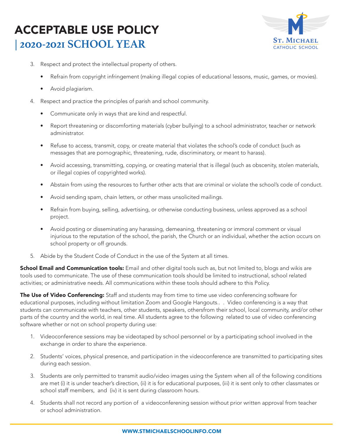

- 3. Respect and protect the intellectual property of others.
	- Refrain from copyright infringement (making illegal copies of educational lessons, music, games, or movies).
	- Avoid plagiarism.
- 4. Respect and practice the principles of parish and school community.
	- Communicate only in ways that are kind and respectful.
	- Report threatening or discomforting materials (cyber bullying) to a school administrator, teacher or network administrator.
	- Refuse to access, transmit, copy, or create material that violates the school's code of conduct (such as messages that are pornographic, threatening, rude, discriminatory, or meant to harass).
	- Avoid accessing, transmitting, copying, or creating material that is illegal (such as obscenity, stolen materials, or illegal copies of copyrighted works).
	- Abstain from using the resources to further other acts that are criminal or violate the school's code of conduct.
	- Avoid sending spam, chain letters, or other mass unsolicited mailings.
	- Refrain from buying, selling, advertising, or otherwise conducting business, unless approved as a school project.
	- Avoid posting or disseminating any harassing, demeaning, threatening or immoral comment or visual injurious to the reputation of the school, the parish, the Church or an individual, whether the action occurs on school property or off grounds.
- 5. Abide by the Student Code of Conduct in the use of the System at all times.

School Email and Communication tools: Email and other digital tools such as, but not limited to, blogs and wikis are tools used to communicate. The use of these communication tools should be limited to instructional, school related activities; or administrative needs. All communications within these tools should adhere to this Policy.

The Use of Video Conferencing: Staff and students may from time to time use video conferencing software for educational purposes, including without limitation Zoom and Google Hangouts.. . Video conferencing is a way that students can communicate with teachers, other students, speakers, othersfrom their school, local community, and/or other parts of the country and the world, in real time. All students agree to the following related to use of video conferencing software whether or not on school property during use:

- 1. Videoconference sessions may be videotaped by school personnel or by a participating school involved in the exchange in order to share the experience.
- 2. Students' voices, physical presence, and participation in the videoconference are transmitted to participating sites during each session.
- 3. Students are only permitted to transmit audio/video images using the System when all of the following conditions are met (i) it is under teacher's direction, (ii) it is for educational purposes, (iii) it is sent only to other classmates or school staff members, and (iv) it is sent during classroom hours.
- 4. Students shall not record any portion of a videoconferening session without prior written approval from teacher or school administration.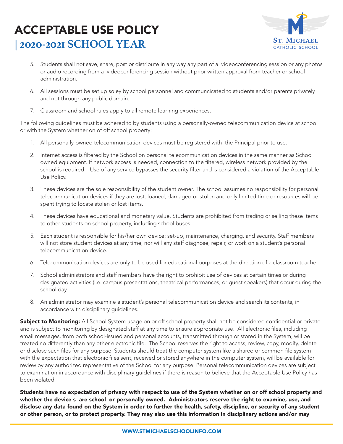

- 5. Students shall not save, share, post or distribute in any way any part of a videoconferencing session or any photos or audio recording from a videoconferencing session without prior written approval from teacher or school administration.
- 6. All sessions must be set up soley by school personnel and communcicated to students and/or parents privately and not through any public domain.
- 7. Classroom and school rules apply to all remote learning experiences.

The following guidelines must be adhered to by students using a personally-owned telecommunication device at school or with the System whether on of off school property:

- 1. All personally-owned telecommunication devices must be registered with the Principal prior to use.
- 2. Internet access is filtered by the School on personal telecommunication devices in the same manner as School owned equipment. If network access is needed, connection to the filtered, wireless network provided by the school is required. Use of any service bypasses the security filter and is considered a violation of the Acceptable Use Policy.
- 3. These devices are the sole responsibility of the student owner. The school assumes no responsibility for personal telecommunication devices if they are lost, loaned, damaged or stolen and only limited time or resources will be spent trying to locate stolen or lost items.
- 4. These devices have educational and monetary value. Students are prohibited from trading or selling these items to other students on school property, including school buses.
- 5. Each student is responsible for his/her own device: set-up, maintenance, charging, and security. Staff members will not store student devices at any time, nor will any staff diagnose, repair, or work on a student's personal telecommunication device.
- 6. Telecommunication devices are only to be used for educational purposes at the direction of a classroom teacher.
- 7. School administrators and staff members have the right to prohibit use of devices at certain times or during designated activities (i.e. campus presentations, theatrical performances, or guest speakers) that occur during the school day.
- 8. An administrator may examine a student's personal telecommunication device and search its contents, in accordance with disciplinary guidelines.

Subject to Monitoring: All School System usage on or off school property shall not be considered confidential or private and is subject to monitoring by designated staff at any time to ensure appropriate use. All electronic files, including email messages, from both school-issued and personal accounts, transmitted through or stored in the System, will be treated no differently than any other electronic file. The School reserves the right to access, review, copy, modify, delete or disclose such files for any purpose. Students should treat the computer system like a shared or common file system with the expectation that electronic files sent, received or stored anywhere in the computer system, will be available for review by any authorized representative of the School for any purpose. Personal telecommunication devices are subject to examination in accordance with disciplinary guidelines if there is reason to believe that the Acceptable Use Policy has been violated.

Students have no expectation of privacy with respect to use of the System whether on or off school property and whether the device s are school or personally owned. Administrators reserve the right to examine, use, and disclose any data found on the System in order to further the health, safety, discipline, or security of any student or other person, or to protect property. They may also use this information in disciplinary actions and/or may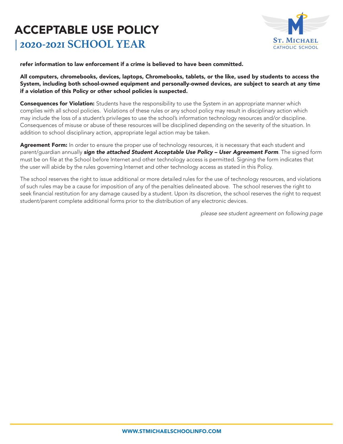

refer information to law enforcement if a crime is believed to have been committed.

All computers, chromebooks, devices, laptops, Chromebooks, tablets, or the like, used by students to access the System, including both school-owned equipment and personally-owned devices, are subject to search at any time if a violation of this Policy or other school policies is suspected.

**Consequences for Violation:** Students have the responsibility to use the System in an appropriate manner which complies with all school policies. Violations of these rules or any school policy may result in disciplinary action which may include the loss of a student's privileges to use the school's information technology resources and/or discipline. Consequences of misuse or abuse of these resources will be disciplined depending on the severity of the situation. In addition to school disciplinary action, appropriate legal action may be taken.

Agreement Form: In order to ensure the proper use of technology resources, it is necessary that each student and parent/guardian annually *sign the attached Student Acceptable Use Policy – User Agreement Form*. The signed form must be on file at the School before Internet and other technology access is permitted. Signing the form indicates that the user will abide by the rules governing Internet and other technology access as stated in this Policy.

The school reserves the right to issue additional or more detailed rules for the use of technology resources, and violations of such rules may be a cause for imposition of any of the penalties delineated above. The school reserves the right to seek financial restitution for any damage caused by a student. Upon its discretion, the school reserves the right to request student/parent complete additional forms prior to the distribution of any electronic devices.

 *please see student agreement on following page*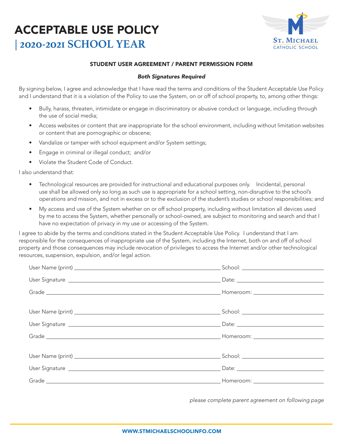

#### STUDENT USER AGREEMENT / PARENT PERMISSION FORM

#### *Both Signatures Required*

By signing below, I agree and acknowledge that I have read the terms and conditions of the Student Acceptable Use Policy and I understand that it is a violation of the Policy to use the System, on or off of school property, to, among other things:

- Bully, harass, threaten, intimidate or engage in discriminatory or abusive conduct or language, including through the use of social media;
- Access websites or content that are inappropriate for the school environment, including without limitation websites or content that are pornographic or obscene;
- Vandalize or tamper with school equipment and/or System settings;
- Engage in criminal or illegal conduct; and/or
- Violate the Student Code of Conduct.

I also understand that:

- Technological resources are provided for instructional and educational purposes only. Incidental, personal use shall be allowed only so long as such use is appropriate for a school setting, non-disruptive to the school's operations and mission, and not in excess or to the exclusion of the student's studies or school responsibilities; and
- My access and use of the System whether on or off school property, including without limitation all devices used by me to access the System, whether personally or school-owned, are subject to monitoring and search and that I have no expectation of privacy in my use or accessing of the System.

I agree to abide by the terms and conditions stated in the Student Acceptable Use Policy. I understand that I am responsible for the consequences of inappropriate use of the System, including the Internet, both on and off of school property and those consequences may include revocation of privileges to access the Internet and/or other technological resources, suspension, expulsion, and/or legal action.

*please complete parent agreement on following page*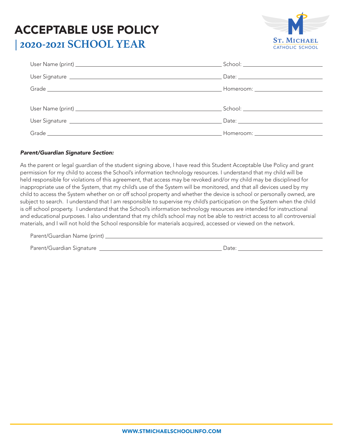

| Homeroom: ___________________________                                                                          |
|----------------------------------------------------------------------------------------------------------------|
|                                                                                                                |
|                                                                                                                |
|                                                                                                                |
| Homeroom: will be a state of the state of the state of the state of the state of the state of the state of the |

#### *Parent/Guardian Signature Section:*

As the parent or legal guardian of the student signing above, I have read this Student Acceptable Use Policy and grant permission for my child to access the School's information technology resources. I understand that my child will be held responsible for violations of this agreement, that access may be revoked and/or my child may be disciplined for inappropriate use of the System, that my child's use of the System will be monitored, and that all devices used by my child to access the System whether on or off school property and whether the device is school or personally owned, are subject to search. I understand that I am responsible to supervise my child's participation on the System when the child is off school property. I understand that the School's information technology resources are intended for instructional and educational purposes. I also understand that my child's school may not be able to restrict access to all controversial materials, and I will not hold the School responsible for materials acquired, accessed or viewed on the network.

| Parent/Guardian Name (print) _ |       |  |
|--------------------------------|-------|--|
| Parent/Guardian Signature      | Date: |  |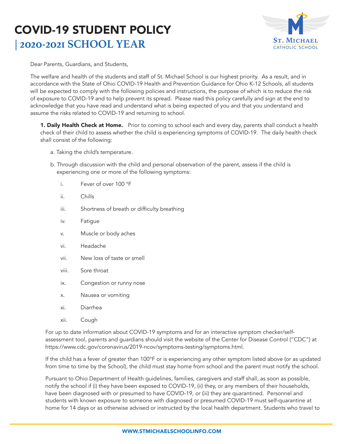### COVID-19 STUDENT POLICY **| 2020-2021 SCHOOL YEAR**



Dear Parents, Guardians, and Students,

The welfare and health of the students and staff of St. Michael School is our highest priority. As a result, and in accordance with the State of Ohio COVID-19 Health and Prevention Guidance for Ohio K-12 Schools, all students will be expected to comply with the following policies and instructions, the purpose of which is to reduce the risk of exposure to COVID-19 and to help prevent its spread. Please read this policy carefully and sign at the end to acknowledge that you have read and understand what is being expected of you and that you understand and assume the risks related to COVID-19 and returning to school.

**1. Daily Health Check at Home.** Prior to coming to school each and every day, parents shall conduct a health check of their child to assess whether the child is experiencing symptoms of COVID-19. The daily health check shall consist of the following:

- a. Taking the child's temperature.
- b. Through discussion with the child and personal observation of the parent, assess if the child is experiencing one or more of the following symptoms:
	- i. Fever of over 100 °F
	- ii. Chills
	- iii. Shortness of breath or difficulty breathing
	- iv. Fatigue
	- v. Muscle or body aches
	- vi. Headache
	- vii. New loss of taste or smell
	- viii. Sore throat
	- ix. Congestion or runny nose
	- x. Nausea or vomiting
	- xi. Diarrhea
	- xii. Cough

For up to date information about COVID-19 symptoms and for an interactive symptom checker/selfassessment tool, parents and guardians should visit the website of the Center for Disease Control ("CDC") at https://www.cdc.gov/coronavirus/2019-ncov/symptoms-testing/symptoms.html.

If the child has a fever of greater than 100°F or is experiencing any other symptom listed above (or as updated from time to time by the School), the child must stay home from school and the parent must notify the school.

Pursuant to Ohio Department of Health guidelines, families, caregivers and staff shall, as soon as possible, notify the school if (i) they have been exposed to COVID-19, (ii) they, or any members of their households, have been diagnosed with or presumed to have COVID-19, or (iii) they are quarantined. Personnel and students with known exposure to someone with diagnosed or presumed COVID-19 must self-quarantine at home for 14 days or as otherwise advised or instructed by the local health department. Students who travel to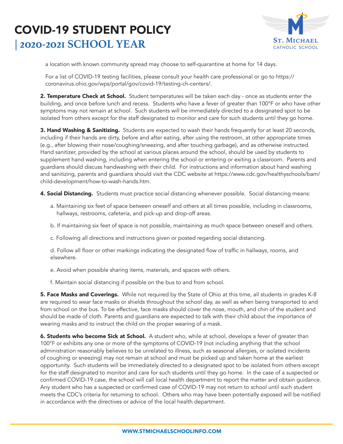### COVID-19 STUDENT POLICY **| 2020-2021 SCHOOL YEAR**



a location with known community spread may choose to self-quarantine at home for 14 days.

For a list of COVID-19 testing facilities, please consult your health care professional or go to https:// coronavirus.ohio.gov/wps/portal/gov/covid-19/testing-ch-centers/.

2. Temperature Check at School. Student temperatures will be taken each day - once as students enter the building, and once before lunch and recess. Students who have a fever of greater than 100°F or who have other symptoms may not remain at school. Such students will be immediately directed to a designated spot to be isolated from others except for the staff designated to monitor and care for such students until they go home.

3. Hand Washing & Sanitizing. Students are expected to wash their hands frequently for at least 20 seconds, including if their hands are dirty, before and after eating, after using the restroom, at other appropriate times (e.g., after blowing their nose/coughing/sneezing, and after touching garbage), and as otherwise instructed. Hand sanitizer, provided by the school at various places around the school, should be used by students to supplement hand washing, including when entering the school or entering or exiting a classroom. Parents and guardians should discuss handwashing with their child. For instructions and information about hand washing and sanitizing, parents and guardians should visit the CDC website at https://www.cdc.gov/healthyschools/bam/ child-development/how-to-wash-hands.htm.

4. Social Distancing. Students must practice social distancing whenever possible. Social distancing means:

- a. Maintaining six feet of space between oneself and others at all times possible, including in classrooms, hallways, restrooms, cafeteria, and pick-up and drop-off areas.
- b. If maintaining six feet of space is not possible, maintaining as much space between oneself and others.
- c. Following all directions and instructions given or posted regarding social distancing.

d. Follow all floor or other markings indicating the designated flow of traffic in hallways, rooms, and elsewhere.

- e. Avoid when possible sharing items, materials, and spaces with others.
- f. Maintain social distancing if possible on the bus to and from school.

5. Face Masks and Coverings. While not required by the State of Ohio at this time, all students in grades K-8 are required to wear face masks or shields throughout the school day, as well as when being transported to and from school on the bus. To be effective, face masks should cover the nose, mouth, and chin of the student and should be made of cloth. Parents and guardians are expected to talk with their child about the importance of wearing masks and to instruct the child on the proper wearing of a mask.

6. Students who become Sick at School. A student who, while at school, develops a fever of greater than 100°F or exhibits any one or more of the symptoms of COVID-19 (not including anything that the school administration reasonably believes to be unrelated to illness, such as seasonal allergies, or isolated incidents of coughing or sneezing) may not remain at school and must be picked up and taken home at the earliest opportunity. Such students will be immediately directed to a designated spot to be isolated from others except for the staff designated to monitor and care for such students until they go home. In the case of a suspected or confirmed COVID-19 case, the school will call local health department to report the matter and obtain guidance. Any student who has a suspected or confirmed case of COVID-19 may not return to school until such student meets the CDC's criteria for returning to school. Others who may have been potentially exposed will be notified in accordance with the directives or advice of the local health department.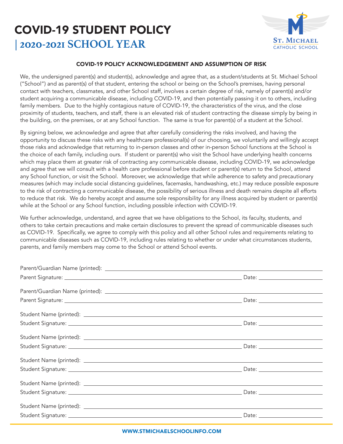### COVID-19 STUDENT POLICY **| 2020-2021 SCHOOL YEAR**



#### COVID-19 POLICY ACKNOWLEDGEMENT AND ASSUMPTION OF RISK

We, the undersigned parent(s) and student(s), acknowledge and agree that, as a student/students at St. Michael School ("School") and as parent(s) of that student, entering the school or being on the School's premises, having personal contact with teachers, classmates, and other School staff, involves a certain degree of risk, namely of parent(s) and/or student acquiring a communicable disease, including COVID-19, and then potentially passing it on to others, including family members. Due to the highly contagious nature of COVID-19, the characteristics of the virus, and the close proximity of students, teachers, and staff, there is an elevated risk of student contracting the disease simply by being in the building, on the premises, or at any School function. The same is true for parent(s) of a student at the School.

By signing below, we acknowledge and agree that after carefully considering the risks involved, and having the opportunity to discuss these risks with any healthcare professional(s) of our choosing, we voluntarily and willingly accept those risks and acknowledge that returning to in-person classes and other in-person School functions at the School is the choice of each family, including ours. If student or parent(s) who visit the School have underlying health concerns which may place them at greater risk of contracting any communicable disease, including COVID-19, we acknowledge and agree that we will consult with a health care professional before student or parent(s) return to the School, attend any School function, or visit the School. Moreover, we acknowledge that while adherence to safety and precautionary measures (which may include social distancing guidelines, facemasks, handwashing, etc.) may reduce possible exposure to the risk of contracting a communicable disease, the possibility of serious illness and death remains despite all efforts to reduce that risk. We do hereby accept and assume sole responsibility for any illness acquired by student or parent(s) while at the School or any School function, including possible infection with COVID-19.

We further acknowledge, understand, and agree that we have obligations to the School, its faculty, students, and others to take certain precautions and make certain disclosures to prevent the spread of communicable diseases such as COVID-19. Specifically, we agree to comply with this policy and all other School rules and requirements relating to communicable diseases such as COVID-19, including rules relating to whether or under what circumstances students, parents, and family members may come to the School or attend School events.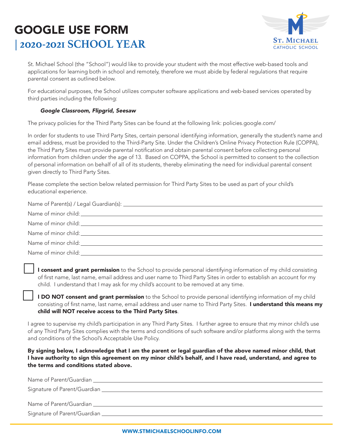### GOOGLE USE FORM **| 2020-2021 SCHOOL YEAR**



St. Michael School (the "School") would like to provide your student with the most effective web-based tools and applications for learning both in school and remotely, therefore we must abide by federal regulations that require parental consent as outlined below.

For educational purposes, the School utilizes computer software applications and web-based services operated by third parties including the following:

#### *Google Classroom, Flipgrid, Seesaw*

The privacy policies for the Third Party Sites can be found at the following link: policies.google.com/

In order for students to use Third Party Sites, certain personal identifying information, generally the student's name and email address, must be provided to the Third-Party Site. Under the Children's Online Privacy Protection Rule (COPPA), the Third Party Sites must provide parental notification and obtain parental consent before collecting personal information from children under the age of 13. Based on COPPA, the School is permitted to consent to the collection of personal information on behalf of all of its students, thereby eliminating the need for individual parental consent given directly to Third Party Sites.

Please complete the section below related permission for Third Party Sites to be used as part of your child's educational experience.

| Name of minor child: the contract of the contract of the contract of the contract of the contract of the contract of the contract of the contract of the contract of the contract of the contract of the contract of the contr |
|--------------------------------------------------------------------------------------------------------------------------------------------------------------------------------------------------------------------------------|
|                                                                                                                                                                                                                                |

I consent and grant permission to the School to provide personal identifying information of my child consisting of first name, last name, email address and user name to Third Party Sites in order to establish an account for my child. I understand that I may ask for my child's account to be removed at any time.

**I DO NOT consent and grant permission** to the School to provide personal identifying information of my child consisting of first name, last name, email address and user name to Third Party Sites. I understand this means my child will NOT receive access to the Third Party Sites.

I agree to supervise my child's participation in any Third Party Sites. I further agree to ensure that my minor child's use of any Third Party Sites complies with the terms and conditions of such software and/or platforms along with the terms and conditions of the School's Acceptable Use Policy.

By signing below, I acknowledge that I am the parent or legal guardian of the above named minor child, that I have authority to sign this agreement on my minor child's behalf, and I have read, understand, and agree to the terms and conditions stated above.

| Name of Parent/Guardian               |  |
|---------------------------------------|--|
|                                       |  |
|                                       |  |
| Name of Parent/Guardian _____________ |  |
| Signature of Parent/Guardian          |  |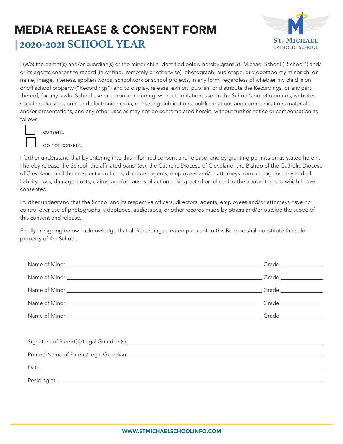### MEDIA RELEASE & CONSENT FORM **| 2020-2021 SCHOOL YEAR**



I (We) the parent(s) and/or guardian(s) of the minor child identified below hereby grant St. Michael School ("School") and/ or its agents consent to record (in writing, remotely or otherwise), photograph, audiotape, or videotape my minor child's name, image, likeness, spoken words, schoolwork or school projects, in any form, regardless of whether my child is on or off school property ("Recordings") and to display, release, exhibit, publish, or distribute the Recordings, or any part thereof, for any lawful School use or purpose including, without limitation, use on the School's bulletin boards, websites, social media sites, print and electronic media, marketing publications, public relations and communications materials and/or presentations, and any other uses as may not be contemplated herein, without further notice or compensation as follows:



I consent.

τ I do not consent.

I further understand that by entering into this informed consent and release, and by granting permission as stated herein, I hereby release the School, the affiliated parish(es), the Catholic Diocese of Cleveland, the Bishop of the Catholic Diocese of Cleveland, and their respective officers, directors, agents, employees and/or attorneys from and against any and all liability, loss, damage, costs, claims, and/or causes of action arising out of or related to the above items to which I have consented.

I further understand that the School and its respective officers, directors, agents, employees and/or attorneys have no control over use of photographs, videotapes, audiotapes, or other records made by others and/or outside the scope of this consent and release.

Finally, in signing below I acknowledge that all Recordings created pursuant to this Release shall constitute the sole property of the School.